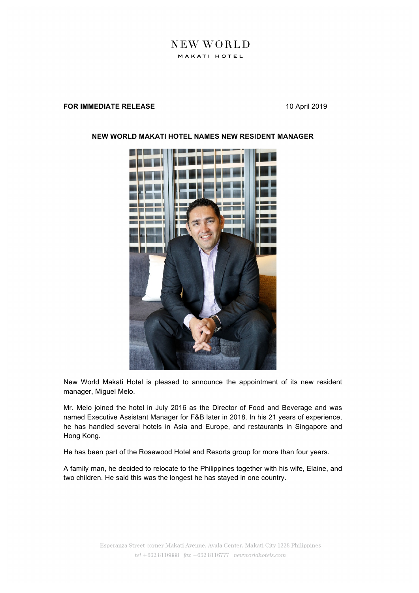## NEW WORLD MAKATI HOTEL

## **FOR IMMEDIATE RELEASE** 10 April 2019



## **NEW WORLD MAKATI HOTEL NAMES NEW RESIDENT MANAGER**

New World Makati Hotel is pleased to announce the appointment of its new resident manager, Miguel Melo.

Mr. Melo joined the hotel in July 2016 as the Director of Food and Beverage and was named Executive Assistant Manager for F&B later in 2018. In his 21 years of experience, he has handled several hotels in Asia and Europe, and restaurants in Singapore and Hong Kong.

He has been part of the Rosewood Hotel and Resorts group for more than four years.

A family man, he decided to relocate to the Philippines together with his wife, Elaine, and two children. He said this was the longest he has stayed in one country.